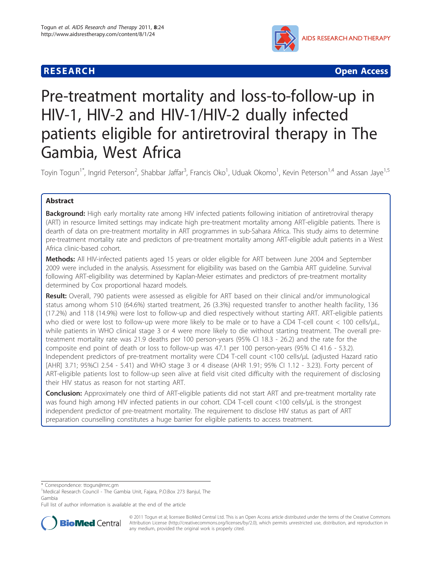# **RESEARCH CHRISTIAN CONSUMING CONTRACT CONSUMING CONSUMING CONSUMING CONSUMING CONSUMING CONSUMING CONSUMING CO**



# Pre-treatment mortality and loss-to-follow-up in HIV-1, HIV-2 and HIV-1/HIV-2 dually infected patients eligible for antiretroviral therapy in The Gambia, West Africa

Toyin Togun<sup>1\*</sup>, Ingrid Peterson<sup>2</sup>, Shabbar Jaffar<sup>3</sup>, Francis Oko<sup>1</sup>, Uduak Okomo<sup>1</sup>, Kevin Peterson<sup>1,4</sup> and Assan Jaye<sup>1,5</sup>

# Abstract

Background: High early mortality rate among HIV infected patients following initiation of antiretroviral therapy (ART) in resource limited settings may indicate high pre-treatment mortality among ART-eligible patients. There is dearth of data on pre-treatment mortality in ART programmes in sub-Sahara Africa. This study aims to determine pre-treatment mortality rate and predictors of pre-treatment mortality among ART-eligible adult patients in a West Africa clinic-based cohort.

Methods: All HIV-infected patients aged 15 years or older eligible for ART between June 2004 and September 2009 were included in the analysis. Assessment for eligibility was based on the Gambia ART guideline. Survival following ART-eligibility was determined by Kaplan-Meier estimates and predictors of pre-treatment mortality determined by Cox proportional hazard models.

Result: Overall, 790 patients were assessed as eligible for ART based on their clinical and/or immunological status among whom 510 (64.6%) started treatment, 26 (3.3%) requested transfer to another health facility, 136 (17.2%) and 118 (14.9%) were lost to follow-up and died respectively without starting ART. ART-eligible patients who died or were lost to follow-up were more likely to be male or to have a CD4 T-cell count < 100 cells/µL, while patients in WHO clinical stage 3 or 4 were more likely to die without starting treatment. The overall pretreatment mortality rate was 21.9 deaths per 100 person-years (95% CI 18.3 - 26.2) and the rate for the composite end point of death or loss to follow-up was 47.1 per 100 person-years (95% CI 41.6 - 53.2). Independent predictors of pre-treatment mortality were CD4 T-cell count <100 cells/μL (adjusted Hazard ratio [AHR] 3.71; 95%CI 2.54 - 5.41) and WHO stage 3 or 4 disease (AHR 1.91; 95% CI 1.12 - 3.23). Forty percent of ART-eligible patients lost to follow-up seen alive at field visit cited difficulty with the requirement of disclosing their HIV status as reason for not starting ART.

Conclusion: Approximately one third of ART-eligible patients did not start ART and pre-treatment mortality rate was found high among HIV infected patients in our cohort. CD4 T-cell count <100 cells/μL is the strongest independent predictor of pre-treatment mortality. The requirement to disclose HIV status as part of ART preparation counselling constitutes a huge barrier for eligible patients to access treatment.

\* Correspondence: [ttogun@mrc.gm](mailto:ttogun@mrc.gm)

Full list of author information is available at the end of the article



© 2011 Togun et al; licensee BioMed Central Ltd. This is an Open Access article distributed under the terms of the Creative Commons Attribution License [\(http://creativecommons.org/licenses/by/2.0](http://creativecommons.org/licenses/by/2.0)), which permits unrestricted use, distribution, and reproduction in any medium, provided the original work is properly cited.

<sup>&</sup>lt;sup>1</sup>Medical Research Council - The Gambia Unit, Fajara, P.O.Box 273 Banjul, The Gambia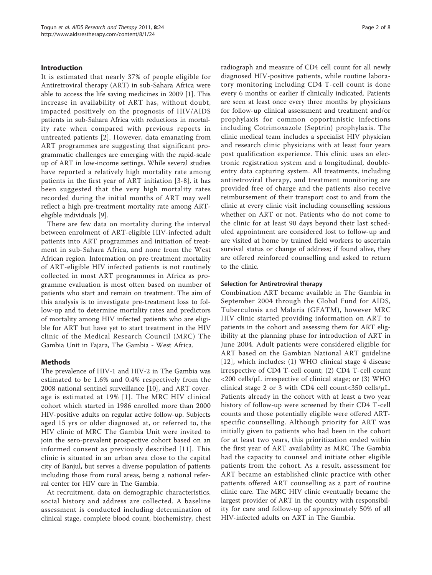## Introduction

It is estimated that nearly 37% of people eligible for Antiretroviral therapy (ART) in sub-Sahara Africa were able to access the life saving medicines in 2009 [[1\]](#page-7-0). This increase in availability of ART has, without doubt, impacted positively on the prognosis of HIV/AIDS patients in sub-Sahara Africa with reductions in mortality rate when compared with previous reports in untreated patients [[2](#page-7-0)]. However, data emanating from ART programmes are suggesting that significant programmatic challenges are emerging with the rapid-scale up of ART in low-income settings. While several studies have reported a relatively high mortality rate among patients in the first year of ART initiation [\[3](#page-7-0)-[8](#page-7-0)], it has been suggested that the very high mortality rates recorded during the initial months of ART may well reflect a high pre-treatment mortality rate among ARTeligible individuals [[9\]](#page-7-0).

There are few data on mortality during the interval between enrolment of ART-eligible HIV-infected adult patients into ART programmes and initiation of treatment in sub-Sahara Africa, and none from the West African region. Information on pre-treatment mortality of ART-eligible HIV infected patients is not routinely collected in most ART programmes in Africa as programme evaluation is most often based on number of patients who start and remain on treatment. The aim of this analysis is to investigate pre-treatment loss to follow-up and to determine mortality rates and predictors of mortality among HIV infected patients who are eligible for ART but have yet to start treatment in the HIV clinic of the Medical Research Council (MRC) The Gambia Unit in Fajara, The Gambia - West Africa.

#### Methods

The prevalence of HIV-1 and HIV-2 in The Gambia was estimated to be 1.6% and 0.4% respectively from the 2008 national sentinel surveillance [\[10](#page-7-0)], and ART coverage is estimated at 19% [[1](#page-7-0)]. The MRC HIV clinical cohort which started in 1986 enrolled more than 2000 HIV-positive adults on regular active follow-up. Subjects aged 15 yrs or older diagnosed at, or referred to, the HIV clinic of MRC The Gambia Unit were invited to join the sero-prevalent prospective cohort based on an informed consent as previously described [[11](#page-7-0)]. This clinic is situated in an urban area close to the capital city of Banjul, but serves a diverse population of patients including those from rural areas, being a national referral center for HIV care in The Gambia.

At recruitment, data on demographic characteristics, social history and address are collected. A baseline assessment is conducted including determination of clinical stage, complete blood count, biochemistry, chest radiograph and measure of CD4 cell count for all newly diagnosed HIV-positive patients, while routine laboratory monitoring including CD4 T-cell count is done every 6 months or earlier if clinically indicated. Patients are seen at least once every three months by physicians for follow-up clinical assessment and treatment and/or prophylaxis for common opportunistic infections including Cotrimoxazole (Septrin) prophylaxis. The clinic medical team includes a specialist HIV physician and research clinic physicians with at least four years post qualification experience. This clinic uses an electronic registration system and a longitudinal, doubleentry data capturing system. All treatments, including antiretroviral therapy, and treatment monitoring are provided free of charge and the patients also receive reimbursement of their transport cost to and from the clinic at every clinic visit including counselling sessions whether on ART or not. Patients who do not come to the clinic for at least 90 days beyond their last scheduled appointment are considered lost to follow-up and are visited at home by trained field workers to ascertain survival status or change of address; if found alive, they are offered reinforced counselling and asked to return to the clinic.

#### Selection for Antiretroviral therapy

Combination ART became available in The Gambia in September 2004 through the Global Fund for AIDS, Tuberculosis and Malaria (GFATM), however MRC HIV clinic started providing information on ART to patients in the cohort and assessing them for ART eligibility at the planning phase for introduction of ART in June 2004. Adult patients were considered eligible for ART based on the Gambian National ART guideline [[12](#page-7-0)], which includes: (1) WHO clinical stage 4 disease irrespective of CD4 T-cell count; (2) CD4 T-cell count <200 cells/μL irrespective of clinical stage; or (3) WHO clinical stage 2 or 3 with CD4 cell count<350 cells/μL. Patients already in the cohort with at least a two year history of follow-up were screened by their CD4 T-cell counts and those potentially eligible were offered ARTspecific counselling. Although priority for ART was initially given to patients who had been in the cohort for at least two years, this prioritization ended within the first year of ART availability as MRC The Gambia had the capacity to counsel and initiate other eligible patients from the cohort. As a result, assessment for ART became an established clinic practice with other patients offered ART counselling as a part of routine clinic care. The MRC HIV clinic eventually became the largest provider of ART in the country with responsibility for care and follow-up of approximately 50% of all HIV-infected adults on ART in The Gambia.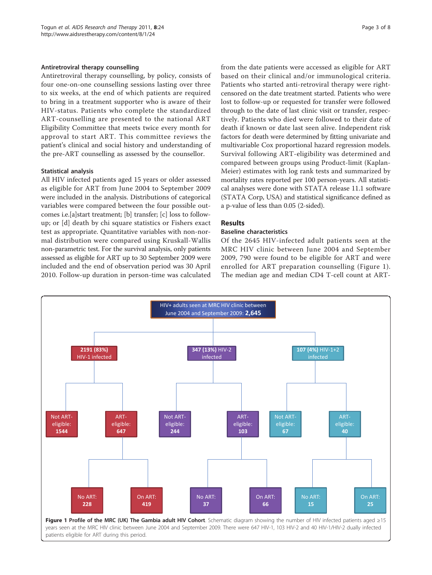#### Antiretroviral therapy counselling

Antiretroviral therapy counselling, by policy, consists of four one-on-one counselling sessions lasting over three to six weeks, at the end of which patients are required to bring in a treatment supporter who is aware of their HIV-status. Patients who complete the standardized ART-counselling are presented to the national ART Eligibility Committee that meets twice every month for approval to start ART. This committee reviews the patient's clinical and social history and understanding of the pre-ART counselling as assessed by the counsellor.

#### Statistical analysis

All HIV infected patients aged 15 years or older assessed as eligible for ART from June 2004 to September 2009 were included in the analysis. Distributions of categorical variables were compared between the four possible outcomes i.e.[a]start treatment; [b] transfer; [c] loss to followup; or [d] death by chi square statistics or Fishers exact test as appropriate. Quantitative variables with non-normal distribution were compared using Kruskall-Wallis non-parametric test. For the survival analysis, only patients assessed as eligible for ART up to 30 September 2009 were included and the end of observation period was 30 April 2010. Follow-up duration in person-time was calculated from the date patients were accessed as eligible for ART based on their clinical and/or immunological criteria. Patients who started anti-retroviral therapy were rightcensored on the date treatment started. Patients who were lost to follow-up or requested for transfer were followed through to the date of last clinic visit or transfer, respectively. Patients who died were followed to their date of death if known or date last seen alive. Independent risk factors for death were determined by fitting univariate and multivariable Cox proportional hazard regression models. Survival following ART-eligibility was determined and compared between groups using Product-limit (Kaplan-Meier) estimates with log rank tests and summarized by mortality rates reported per 100 person-years. All statistical analyses were done with STATA release 11.1 software (STATA Corp, USA) and statistical significance defined as a p-value of less than 0.05 (2-sided).

# Results

# Baseline characteristics

Of the 2645 HIV-infected adult patients seen at the MRC HIV clinic between June 2004 and September 2009, 790 were found to be eligible for ART and were enrolled for ART preparation counselling (Figure 1). The median age and median CD4 T-cell count at ART-

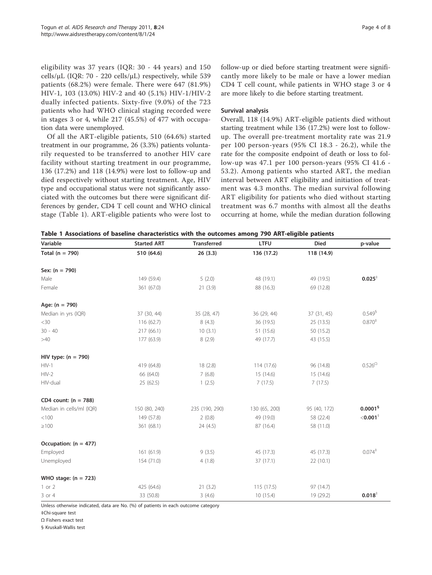eligibility was 37 years (IQR: 30 - 44 years) and 150 cells/μL (IQR: 70 - 220 cells/μL) respectively, while 539 patients (68.2%) were female. There were 647 (81.9%) HIV-1, 103 (13.0%) HIV-2 and 40 (5.1%) HIV-1/HIV-2 dually infected patients. Sixty-five (9.0%) of the 723 patients who had WHO clinical staging recorded were in stages 3 or 4, while 217 (45.5%) of 477 with occupation data were unemployed.

Of all the ART-eligible patients, 510 (64.6%) started treatment in our programme, 26 (3.3%) patients voluntarily requested to be transferred to another HIV care facility without starting treatment in our programme, 136 (17.2%) and 118 (14.9%) were lost to follow-up and died respectively without starting treatment. Age, HIV type and occupational status were not significantly associated with the outcomes but there were significant differences by gender, CD4 T cell count and WHO clinical stage (Table 1). ART-eligible patients who were lost to follow-up or died before starting treatment were significantly more likely to be male or have a lower median CD4 T cell count, while patients in WHO stage 3 or 4 are more likely to die before starting treatment.

#### Survival analysis

Overall, 118 (14.9%) ART-eligible patients died without starting treatment while 136 (17.2%) were lost to followup. The overall pre-treatment mortality rate was 21.9 per 100 person-years (95% CI 18.3 - 26.2), while the rate for the composite endpoint of death or loss to follow-up was 47.1 per 100 person-years (95% CI 41.6 - 53.2). Among patients who started ART, the median interval between ART eligibility and initiation of treatment was 4.3 months. The median survival following ART eligibility for patients who died without starting treatment was 6.7 months with almost all the deaths occurring at home, while the median duration following

|  |  |  | Table 1 Associations of baseline characteristics with the outcomes among 790 ART-eligible patients |  |  |  |  |  |  |
|--|--|--|----------------------------------------------------------------------------------------------------|--|--|--|--|--|--|
|--|--|--|----------------------------------------------------------------------------------------------------|--|--|--|--|--|--|

| Variable                 | <b>Started ART</b> | <b>Transferred</b> | <b>LTFU</b>   | <b>Died</b>  | p-value                           |
|--------------------------|--------------------|--------------------|---------------|--------------|-----------------------------------|
| Total ( $n = 790$ )      | 510 (64.6)         | 26(3.3)            | 136 (17.2)    | 118 (14.9)   |                                   |
| Sex: $(n = 790)$         |                    |                    |               |              |                                   |
| Male                     | 149 (59.4)         | 5(2.0)             | 48 (19.1)     | 49 (19.5)    | $0.025^{+}$                       |
| Female                   | 361 (67.0)         | 21(3.9)            | 88 (16.3)     | 69 (12.8)    |                                   |
| Age: $(n = 790)$         |                    |                    |               |              |                                   |
| Median in yrs (IQR)      | 37 (30, 44)        | 35 (28, 47)        | 36 (29, 44)   | 37 (31, 45)  | $0.549^{6}$                       |
| $<$ 30                   | 116 (62.7)         | 8(4.3)             | 36 (19.5)     | 25 (13.5)    | 0.870 <sup>‡</sup>                |
| $30 - 40$                | 217 (66.1)         | 10(3.1)            | 51 (15.6)     | 50 (15.2)    |                                   |
| >40                      | 177 (63.9)         | 8(2.9)             | 49 (17.7)     | 43 (15.5)    |                                   |
| HIV type: $(n = 790)$    |                    |                    |               |              |                                   |
| $HIV-1$                  | 419 (64.8)         | 18(2.8)            | 114 (17.6)    | 96 (14.8)    | $0.526^{\Omega}$                  |
| $HIV-2$                  | 66 (64.0)          | 7(6.8)             | 15 (14.6)     | 15 (14.6)    |                                   |
| HIV-dual                 | 25(62.5)           | 1(2.5)             | 7(17.5)       | 7(17.5)      |                                   |
| CD4 count: $(n = 788)$   |                    |                    |               |              |                                   |
| Median in cells/ml (IQR) | 150 (80, 240)      | 235 (190, 290)     | 130 (65, 200) | 95 (40, 172) | 0.0001 <sup>6</sup>               |
| < 100                    | 149 (57.8)         | 2(0.8)             | 49 (19.0)     | 58 (22.4)    | $<$ 0.001 $^{\ddagger}$           |
| $\geq 100$               | 361 (68.1)         | 24(4.5)            | 87 (16.4)     | 58 (11.0)    |                                   |
| Occupation: $(n = 477)$  |                    |                    |               |              |                                   |
| Employed                 | 161(61.9)          | 9(3.5)             | 45 (17.3)     | 45 (17.3)    | $0.074$ <sup><math>+</math></sup> |
| Unemployed               | 154 (71.0)         | 4(1.8)             | 37 (17.1)     | 22(10.1)     |                                   |
| WHO stage: $(n = 723)$   |                    |                    |               |              |                                   |
| 1 or 2                   | 425 (64.6)         | 21(3.2)            | 115(17.5)     | 97 (14.7)    |                                   |
| 3 or 4                   | 33 (50.8)          | 3(4.6)             | 10(15.4)      | 19 (29.2)    | 0.018 <sup>‡</sup>                |

Unless otherwise indicated, data are No. (%) of patients in each outcome category

‡Chi-square test

Ω Fishers exact test

§ Kruskall-Wallis test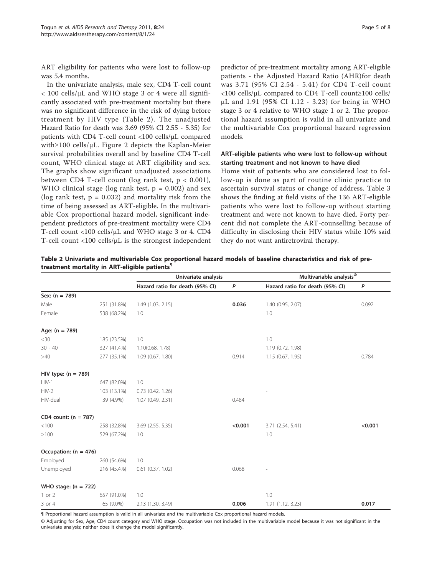ART eligibility for patients who were lost to follow-up was 5.4 months.

In the univariate analysis, male sex, CD4 T-cell count < 100 cells/μL and WHO stage 3 or 4 were all significantly associated with pre-treatment mortality but there was no significant difference in the risk of dying before treatment by HIV type (Table 2). The unadjusted Hazard Ratio for death was 3.69 (95% CI 2.55 - 5.35) for patients with CD4 T-cell count <100 cells/μL compared with≥100 cells/μL. Figure [2](#page-6-0) depicts the Kaplan-Meier survival probabilities overall and by baseline CD4 T-cell count, WHO clinical stage at ART eligibility and sex. The graphs show significant unadjusted associations between CD4 T-cell count (log rank test,  $p < 0.001$ ), WHO clinical stage (log rank test,  $p = 0.002$ ) and sex (log rank test,  $p = 0.032$ ) and mortality risk from the time of being assessed as ART-eligible. In the multivariable Cox proportional hazard model, significant independent predictors of pre-treatment mortality were CD4 T-cell count <100 cells/μL and WHO stage 3 or 4. CD4 T-cell count <100 cells/μL is the strongest independent

predictor of pre-treatment mortality among ART-eligible patients - the Adjusted Hazard Ratio (AHR)for death was 3.71 (95% CI 2.54 - 5.41) for CD4 T-cell count <100 cells/μL compared to CD4 T-cell count≥100 cells/ μL and 1.91 (95% CI 1.12 - 3.23) for being in WHO stage 3 or 4 relative to WHO stage 1 or 2. The proportional hazard assumption is valid in all univariate and the multivariable Cox proportional hazard regression models.

## ART-eligible patients who were lost to follow-up without starting treatment and not known to have died

Home visit of patients who are considered lost to follow-up is done as part of routine clinic practice to ascertain survival status or change of address. Table [3](#page-6-0) shows the finding at field visits of the 136 ART-eligible patients who were lost to follow-up without starting treatment and were not known to have died. Forty percent did not complete the ART-counselling because of difficulty in disclosing their HIV status while 10% said they do not want antiretroviral therapy.

| Table 2 Univariate and multivariable Cox proportional hazard models of baseline characteristics and risk of pre- |  |  |  |
|------------------------------------------------------------------------------------------------------------------|--|--|--|
| treatment mortality in ART-eligible patients"                                                                    |  |  |  |

|                         |             | Univariate analysis             |         | Multivariable analysis <sup>®</sup> |         |  |
|-------------------------|-------------|---------------------------------|---------|-------------------------------------|---------|--|
|                         |             | Hazard ratio for death (95% CI) | P       | Hazard ratio for death (95% CI)     | P       |  |
| Sex: $(n = 789)$        |             |                                 |         |                                     |         |  |
| Male                    | 251 (31.8%) | 1.49 (1.03, 2.15)               | 0.036   | 1.40 (0.95, 2.07)                   | 0.092   |  |
| Female                  | 538 (68.2%) | 1.0                             |         | 1.0                                 |         |  |
| Age: $(n = 789)$        |             |                                 |         |                                     |         |  |
| $<$ 30                  | 185 (23.5%) | 1.0                             |         | 1.0                                 |         |  |
| $30 - 40$               | 327 (41.4%) | 1.10(0.68, 1.78)                |         | 1.19 (0.72, 1.98)                   |         |  |
| >40                     | 277 (35.1%) | 1.09(0.67, 1.80)                | 0.914   | 1.15(0.67, 1.95)                    | 0.784   |  |
| HIV type: $(n = 789)$   |             |                                 |         |                                     |         |  |
| $HIV-1$                 | 647 (82.0%) | 1.0                             |         |                                     |         |  |
| $HIV-2$                 | 103 (13.1%) | $0.73$ $(0.42, 1.26)$           |         |                                     |         |  |
| HIV-dual                | 39 (4.9%)   | 1.07 (0.49, 2.31)               | 0.484   |                                     |         |  |
| CD4 count: $(n = 787)$  |             |                                 |         |                                     |         |  |
| < 100                   | 258 (32.8%) | 3.69 (2.55, 5.35)               | < 0.001 | 3.71 (2.54, 5.41)                   | < 0.001 |  |
| $\geq 100$              | 529 (67.2%) | 1.0                             |         | 1.0                                 |         |  |
| Occupation: $(n = 476)$ |             |                                 |         |                                     |         |  |
| Employed                | 260 (54.6%) | 1.0                             |         |                                     |         |  |
| Unemployed              | 216 (45.4%) | $0.61$ $(0.37, 1.02)$           | 0.068   |                                     |         |  |
| WHO stage: $(n = 722)$  |             |                                 |         |                                     |         |  |
| $1$ or $2$              | 657 (91.0%) | 1.0                             |         | 1.0                                 |         |  |
| 3 or 4                  | 65 (9.0%)   | 2.13 (1.30, 3.49)               | 0.006   | 1.91 (1.12, 3.23)                   | 0.017   |  |

¶ Proportional hazard assumption is valid in all univariate and the multivariable Cox proportional hazard models.

Ф Adjusting for Sex, Age, CD4 count category and WHO stage. Occupation was not included in the multivariable model because it was not significant in the univariate analysis; neither does it change the model significantly.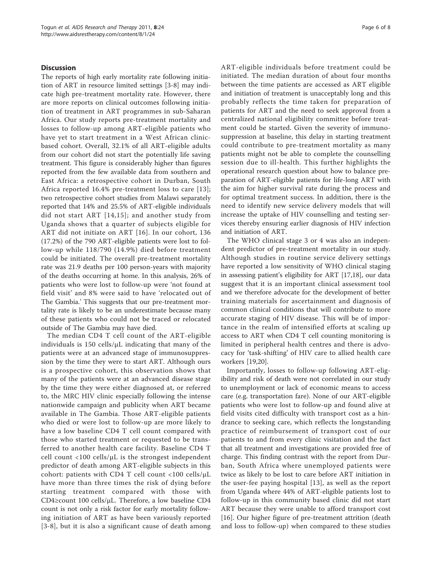#### **Discussion**

The reports of high early mortality rate following initiation of ART in resource limited settings [[3-8](#page-7-0)] may indicate high pre-treatment mortality rate. However, there are more reports on clinical outcomes following initiation of treatment in ART programmes in sub-Saharan Africa. Our study reports pre-treatment mortality and losses to follow-up among ART-eligible patients who have yet to start treatment in a West African clinicbased cohort. Overall, 32.1% of all ART-eligible adults from our cohort did not start the potentially life saving treatment. This figure is considerably higher than figures reported from the few available data from southern and East Africa: a retrospective cohort in Durban, South Africa reported 16.4% pre-treatment loss to care [[13](#page-7-0)]; two retrospective cohort studies from Malawi separately reported that 14% and 25.5% of ART-eligible individuals did not start ART [[14](#page-7-0),[15\]](#page-7-0); and another study from Uganda shows that a quarter of subjects eligible for ART did not initiate on ART [[16](#page-7-0)]. In our cohort, 136 (17.2%) of the 790 ART-eligible patients were lost to follow-up while 118/790 (14.9%) died before treatment could be initiated. The overall pre-treatment mortality rate was 21.9 deaths per 100 person-years with majority of the deaths occurring at home. In this analysis, 26% of patients who were lost to follow-up were 'not found at field visit' and 8% were said to have 'relocated out of The Gambia.' This suggests that our pre-treatment mortality rate is likely to be an underestimate because many of these patients who could not be traced or relocated outside of The Gambia may have died.

The median CD4 T cell count of the ART-eligible individuals is 150 cells/ $\mu$ L indicating that many of the patients were at an advanced stage of immunosuppression by the time they were to start ART. Although ours is a prospective cohort, this observation shows that many of the patients were at an advanced disease stage by the time they were either diagnosed at, or referred to, the MRC HIV clinic especially following the intense nationwide campaign and publicity when ART became available in The Gambia. Those ART-eligible patients who died or were lost to follow-up are more likely to have a low baseline CD4 T cell count compared with those who started treatment or requested to be transferred to another health care facility. Baseline CD4 T cell count  $\langle 100 \text{ cells/}\mu\text{L}$  is the strongest independent predictor of death among ART-eligible subjects in this cohort: patients with CD4 T cell count <100 cells/μL have more than three times the risk of dying before starting treatment compared with those with CD4≥count 100 cells/μL. Therefore, a low baseline CD4 count is not only a risk factor for early mortality following initiation of ART as have been variously reported [[3](#page-7-0)-[8](#page-7-0)], but it is also a significant cause of death among ART-eligible individuals before treatment could be initiated. The median duration of about four months between the time patients are accessed as ART eligible and initiation of treatment is unacceptably long and this probably reflects the time taken for preparation of patients for ART and the need to seek approval from a centralized national eligibility committee before treatment could be started. Given the severity of immunosuppression at baseline, this delay in starting treatment could contribute to pre-treatment mortality as many patients might not be able to complete the counselling session due to ill-health. This further highlights the operational research question about how to balance preparation of ART-eligible patients for life-long ART with the aim for higher survival rate during the process and for optimal treatment success. In addition, there is the need to identify new service delivery models that will increase the uptake of HIV counselling and testing services thereby ensuring earlier diagnosis of HIV infection and initiation of ART.

The WHO clinical stage 3 or 4 was also an independent predictor of pre-treatment mortality in our study. Although studies in routine service delivery settings have reported a low sensitivity of WHO clinical staging in assessing patient's eligibility for ART [[17,18\]](#page-7-0), our data suggest that it is an important clinical assessment tool and we therefore advocate for the development of better training materials for ascertainment and diagnosis of common clinical conditions that will contribute to more accurate staging of HIV disease. This will be of importance in the realm of intensified efforts at scaling up access to ART when CD4 T cell counting monitoring is limited in peripheral health centres and there is advocacy for 'task-shifting' of HIV care to allied health care workers [\[19,20\]](#page-7-0).

Importantly, losses to follow-up following ART-eligibility and risk of death were not correlated in our study to unemployment or lack of economic means to access care (e.g. transportation fare). None of our ART-eligible patients who were lost to follow-up and found alive at field visits cited difficulty with transport cost as a hindrance to seeking care, which reflects the longstanding practice of reimbursement of transport cost of our patients to and from every clinic visitation and the fact that all treatment and investigations are provided free of charge. This finding contrast with the report from Durban, South Africa where unemployed patients were twice as likely to be lost to care before ART initiation in the user-fee paying hospital [[13](#page-7-0)], as well as the report from Uganda where 44% of ART-eligible patients lost to follow-up in this community based clinic did not start ART because they were unable to afford transport cost [[16\]](#page-7-0). Our higher figure of pre-treatment attrition (death and loss to follow-up) when compared to these studies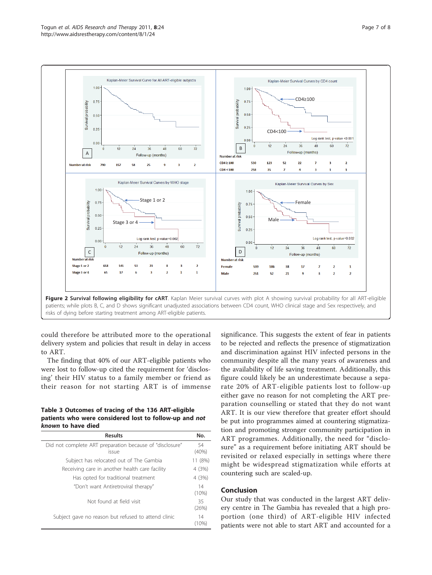<span id="page-6-0"></span>

could therefore be attributed more to the operational delivery system and policies that result in delay in access to ART.

The finding that 40% of our ART-eligible patients who were lost to follow-up cited the requirement for 'disclosing' their HIV status to a family member or friend as their reason for not starting ART is of immense

Table 3 Outcomes of tracing of the 136 ART-eligible patients who were considered lost to follow-up and not known to have died

| <b>Results</b>                                                    | No.         |
|-------------------------------------------------------------------|-------------|
| Did not complete ART preparation because of "disclosure"<br>issue | 54<br>(40%) |
| Subject has relocated out of The Gambia                           | 11 (8%)     |
| Receiving care in another health care facility                    | 4 (3%)      |
| Has opted for traditional treatment                               | 4(3%)       |
| "Don't want Antiretroviral therapy"                               | 14<br>(10%) |
| Not found at field visit                                          | 35<br>(26%) |
| Subject gave no reason but refused to attend clinic               | 14<br>(10%) |

significance. This suggests the extent of fear in patients to be rejected and reflects the presence of stigmatization and discrimination against HIV infected persons in the community despite all the many years of awareness and the availability of life saving treatment. Additionally, this figure could likely be an underestimate because a separate 20% of ART-eligible patients lost to follow-up either gave no reason for not completing the ART preparation counselling or stated that they do not want ART. It is our view therefore that greater effort should be put into programmes aimed at countering stigmatization and promoting stronger community participation in ART programmes. Additionally, the need for "disclosure" as a requirement before initiating ART should be revisited or relaxed especially in settings where there might be widespread stigmatization while efforts at countering such are scaled-up.

# Conclusion

Our study that was conducted in the largest ART delivery centre in The Gambia has revealed that a high proportion (one third) of ART-eligible HIV infected patients were not able to start ART and accounted for a